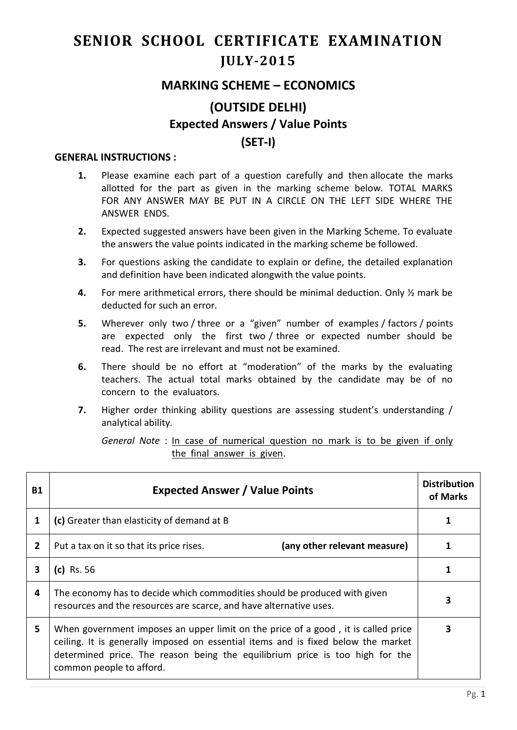## **SENIOR SCHOOL CERTIFICATE EXAMINATION JULY-2015**

## **MARKING SCHEME – ECONOMICS**

## **(OUTSIDE DELHI) Expected Answers / Value Points (SET-I)**

## **GENERAL INSTRUCTIONS :**

- **1.** Please examine each part of a question carefully and then allocate the marks allotted for the part as given in the marking scheme below. TOTAL MARKS FOR ANY ANSWER MAY BE PUT IN A CIRCLE ON THE LEFT SIDE WHERE THE ANSWER ENDS.
- **2.** Expected suggested answers have been given in the Marking Scheme. To evaluate the answers the value points indicated in the marking scheme be followed.
- **3.** For questions asking the candidate to explain or define, the detailed explanation and definition have been indicated alongwith the value points.
- **4.** For mere arithmetical errors, there should be minimal deduction. Only ½ mark be deducted for such an error.
- **5.** Wherever only two / three or a "given" number of examples / factors / points are expected only the first two / three or expected number should be read. The rest are irrelevant and must not be examined.
- **6.** There should be no effort at "moderation" of the marks by the evaluating teachers. The actual total marks obtained by the candidate may be of no concern to the evaluators.
- **7.** Higher order thinking ability questions are assessing student's understanding / analytical ability.

*General Note* : In case of numerical question no mark is to be given if only the final answer is given.

| <b>B1</b>      | <b>Expected Answer / Value Points</b>                                                                                                                                                                                                                                              | <b>Distribution</b><br>of Marks |
|----------------|------------------------------------------------------------------------------------------------------------------------------------------------------------------------------------------------------------------------------------------------------------------------------------|---------------------------------|
| 1              | (c) Greater than elasticity of demand at B                                                                                                                                                                                                                                         |                                 |
| $\overline{2}$ | (any other relevant measure)<br>Put a tax on it so that its price rises.                                                                                                                                                                                                           |                                 |
| 3              | (c) Rs. 56                                                                                                                                                                                                                                                                         |                                 |
| 4              | The economy has to decide which commodities should be produced with given<br>resources and the resources are scarce, and have alternative uses.                                                                                                                                    |                                 |
| 5.             | When government imposes an upper limit on the price of a good, it is called price<br>ceiling. It is generally imposed on essential items and is fixed below the market<br>determined price. The reason being the equilibrium price is too high for the<br>common people to afford. |                                 |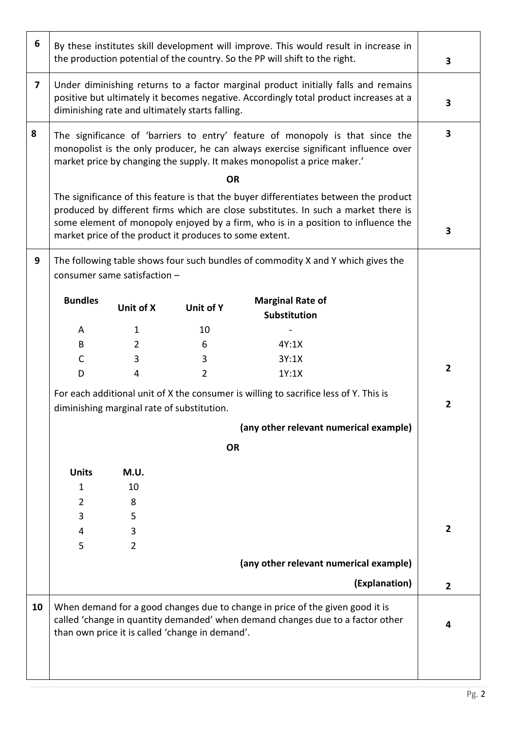| 6                       | By these institutes skill development will improve. This would result in increase in<br>the production potential of the country. So the PP will shift to the right.                                                                                                                                                                      |                                      |                                                 | 3                                                                                                                                                               |                |
|-------------------------|------------------------------------------------------------------------------------------------------------------------------------------------------------------------------------------------------------------------------------------------------------------------------------------------------------------------------------------|--------------------------------------|-------------------------------------------------|-----------------------------------------------------------------------------------------------------------------------------------------------------------------|----------------|
| $\overline{\mathbf{z}}$ | Under diminishing returns to a factor marginal product initially falls and remains<br>positive but ultimately it becomes negative. Accordingly total product increases at a<br>diminishing rate and ultimately starts falling.                                                                                                           |                                      |                                                 | 3                                                                                                                                                               |                |
| 8                       | The significance of 'barriers to entry' feature of monopoly is that since the<br>monopolist is the only producer, he can always exercise significant influence over<br>market price by changing the supply. It makes monopolist a price maker.'                                                                                          |                                      |                                                 | 3                                                                                                                                                               |                |
|                         | <b>OR</b><br>The significance of this feature is that the buyer differentiates between the product<br>produced by different firms which are close substitutes. In such a market there is<br>some element of monopoly enjoyed by a firm, who is in a position to influence the<br>market price of the product it produces to some extent. |                                      |                                                 |                                                                                                                                                                 | 3              |
| 9                       | The following table shows four such bundles of commodity X and Y which gives the<br>consumer same satisfaction -                                                                                                                                                                                                                         |                                      |                                                 |                                                                                                                                                                 |                |
|                         | <b>Bundles</b>                                                                                                                                                                                                                                                                                                                           | Unit of X                            | Unit of Y                                       | <b>Marginal Rate of</b>                                                                                                                                         |                |
|                         | A                                                                                                                                                                                                                                                                                                                                        | 1                                    | 10                                              | <b>Substitution</b>                                                                                                                                             |                |
|                         | B                                                                                                                                                                                                                                                                                                                                        | 2                                    | 6                                               | 4Y:1X                                                                                                                                                           |                |
|                         | C                                                                                                                                                                                                                                                                                                                                        | 3                                    | 3                                               | 3Y:1X                                                                                                                                                           |                |
|                         | D                                                                                                                                                                                                                                                                                                                                        | 4                                    | $\overline{2}$                                  | 1Y:1X                                                                                                                                                           | $\overline{2}$ |
|                         | For each additional unit of X the consumer is willing to sacrifice less of Y. This is<br>diminishing marginal rate of substitution.                                                                                                                                                                                                      |                                      |                                                 | $\overline{2}$                                                                                                                                                  |                |
|                         | (any other relevant numerical example)                                                                                                                                                                                                                                                                                                   |                                      |                                                 |                                                                                                                                                                 |                |
|                         |                                                                                                                                                                                                                                                                                                                                          |                                      | <b>OR</b>                                       |                                                                                                                                                                 |                |
|                         | <b>Units</b><br>1<br>$\overline{2}$<br>3<br>4                                                                                                                                                                                                                                                                                            | M.U.<br>10<br>8<br>5<br>$\mathbf{3}$ |                                                 |                                                                                                                                                                 | $\overline{2}$ |
|                         | 5                                                                                                                                                                                                                                                                                                                                        | $\overline{2}$                       |                                                 |                                                                                                                                                                 |                |
|                         |                                                                                                                                                                                                                                                                                                                                          |                                      |                                                 | (any other relevant numerical example)                                                                                                                          |                |
|                         |                                                                                                                                                                                                                                                                                                                                          |                                      |                                                 | (Explanation)                                                                                                                                                   | $\overline{2}$ |
| 10                      |                                                                                                                                                                                                                                                                                                                                          |                                      | than own price it is called 'change in demand'. | When demand for a good changes due to change in price of the given good it is<br>called 'change in quantity demanded' when demand changes due to a factor other | 4              |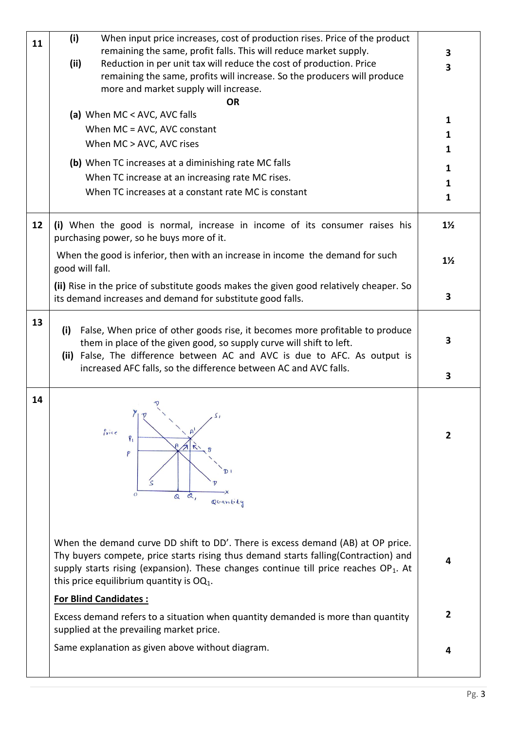| 11 | (i)<br>When input price increases, cost of production rises. Price of the product                                                                                                                                                                                                                                                                |                         |  |  |
|----|--------------------------------------------------------------------------------------------------------------------------------------------------------------------------------------------------------------------------------------------------------------------------------------------------------------------------------------------------|-------------------------|--|--|
|    | remaining the same, profit falls. This will reduce market supply.                                                                                                                                                                                                                                                                                | 3                       |  |  |
|    | (ii)<br>Reduction in per unit tax will reduce the cost of production. Price                                                                                                                                                                                                                                                                      | 3                       |  |  |
|    | remaining the same, profits will increase. So the producers will produce                                                                                                                                                                                                                                                                         |                         |  |  |
|    | more and market supply will increase.                                                                                                                                                                                                                                                                                                            |                         |  |  |
|    | <b>OR</b>                                                                                                                                                                                                                                                                                                                                        |                         |  |  |
|    | (a) When MC < AVC, AVC falls                                                                                                                                                                                                                                                                                                                     |                         |  |  |
|    | When MC = AVC, AVC constant                                                                                                                                                                                                                                                                                                                      |                         |  |  |
|    | When MC > AVC, AVC rises                                                                                                                                                                                                                                                                                                                         |                         |  |  |
|    | (b) When TC increases at a diminishing rate MC falls                                                                                                                                                                                                                                                                                             | 1                       |  |  |
|    | When TC increase at an increasing rate MC rises.                                                                                                                                                                                                                                                                                                 | 1                       |  |  |
|    | When TC increases at a constant rate MC is constant                                                                                                                                                                                                                                                                                              |                         |  |  |
|    |                                                                                                                                                                                                                                                                                                                                                  | 1                       |  |  |
| 12 | (i) When the good is normal, increase in income of its consumer raises his<br>purchasing power, so he buys more of it.                                                                                                                                                                                                                           | $1\frac{1}{2}$          |  |  |
|    | When the good is inferior, then with an increase in income the demand for such<br>good will fall.                                                                                                                                                                                                                                                | $1\frac{1}{2}$          |  |  |
|    | (ii) Rise in the price of substitute goods makes the given good relatively cheaper. So<br>its demand increases and demand for substitute good falls.                                                                                                                                                                                             | 3                       |  |  |
| 13 | False, When price of other goods rise, it becomes more profitable to produce<br>(i)<br>them in place of the given good, so supply curve will shift to left.<br>(ii) False, The difference between AC and AVC is due to AFC. As output is                                                                                                         |                         |  |  |
|    | increased AFC falls, so the difference between AC and AVC falls.                                                                                                                                                                                                                                                                                 | 3                       |  |  |
| 14 | Price<br>$P_1$<br>$\mathcal{L}$<br>P<br>$\circ$<br>$\alpha$ ,<br>$\mathbf{\Omega}$<br>Quantity                                                                                                                                                                                                                                                   | $\overline{2}$          |  |  |
|    | When the demand curve DD shift to DD'. There is excess demand (AB) at OP price.<br>Thy buyers compete, price starts rising thus demand starts falling(Contraction) and<br>supply starts rising (expansion). These changes continue till price reaches $OP_1$ . At<br>this price equilibrium quantity is $OQ_1$ .<br><b>For Blind Candidates:</b> | 4                       |  |  |
|    |                                                                                                                                                                                                                                                                                                                                                  |                         |  |  |
|    | Excess demand refers to a situation when quantity demanded is more than quantity<br>supplied at the prevailing market price.                                                                                                                                                                                                                     | $\overline{\mathbf{2}}$ |  |  |
|    | Same explanation as given above without diagram.                                                                                                                                                                                                                                                                                                 | 4                       |  |  |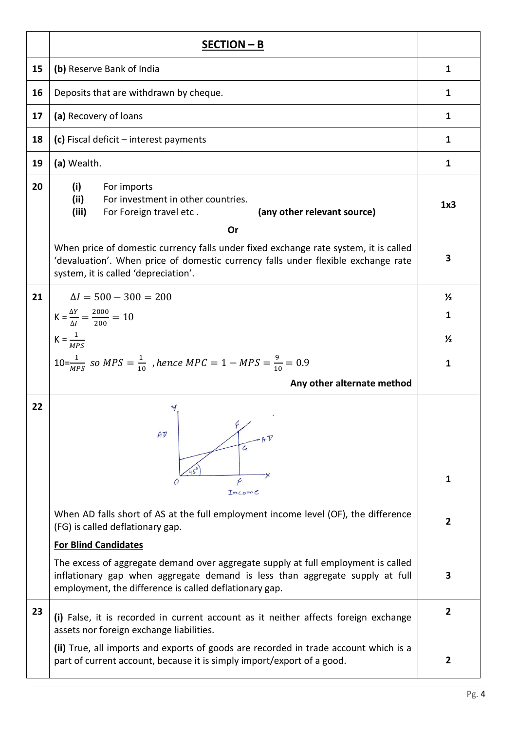|    | SECTION - B                                                                                                                                                                                                                 |                |  |
|----|-----------------------------------------------------------------------------------------------------------------------------------------------------------------------------------------------------------------------------|----------------|--|
| 15 | (b) Reserve Bank of India                                                                                                                                                                                                   | $\mathbf{1}$   |  |
| 16 | Deposits that are withdrawn by cheque.                                                                                                                                                                                      |                |  |
| 17 | (a) Recovery of loans                                                                                                                                                                                                       | 1              |  |
| 18 | (c) Fiscal deficit $-$ interest payments                                                                                                                                                                                    | 1              |  |
| 19 | (a) Wealth.                                                                                                                                                                                                                 | 1              |  |
| 20 | (i)<br>For imports<br>For investment in other countries.<br>(ii)<br>(iii)<br>(any other relevant source)<br>For Foreign travel etc.<br>Or                                                                                   | 1x3            |  |
|    | When price of domestic currency falls under fixed exchange rate system, it is called<br>'devaluation'. When price of domestic currency falls under flexible exchange rate<br>system, it is called 'depreciation'.           | 3              |  |
| 21 | $\Delta l = 500 - 300 = 200$                                                                                                                                                                                                | $\frac{1}{2}$  |  |
|    | $K = \frac{\Delta Y}{\Delta I} = \frac{2000}{200} = 10$                                                                                                                                                                     | 1              |  |
|    | $K = \frac{1}{MPS}$                                                                                                                                                                                                         | $\frac{1}{2}$  |  |
|    | $10 = \frac{1}{MPS}$ so MPS = $\frac{1}{10}$ , hence MPC = 1 – MPS = $\frac{9}{10}$ = 0.9                                                                                                                                   |                |  |
|    | Any other alternate method                                                                                                                                                                                                  |                |  |
| 22 | Y<br>$A\overline{V}$<br>G<br>F<br>Income                                                                                                                                                                                    | 1              |  |
|    | When AD falls short of AS at the full employment income level (OF), the difference<br>(FG) is called deflationary gap.                                                                                                      | $\overline{2}$ |  |
|    | <b>For Blind Candidates</b>                                                                                                                                                                                                 |                |  |
|    | The excess of aggregate demand over aggregate supply at full employment is called<br>inflationary gap when aggregate demand is less than aggregate supply at full<br>employment, the difference is called deflationary gap. | 3              |  |
| 23 | (i) False, it is recorded in current account as it neither affects foreign exchange<br>assets nor foreign exchange liabilities.                                                                                             | $\overline{2}$ |  |
|    | (ii) True, all imports and exports of goods are recorded in trade account which is a<br>part of current account, because it is simply import/export of a good.                                                              | $\overline{2}$ |  |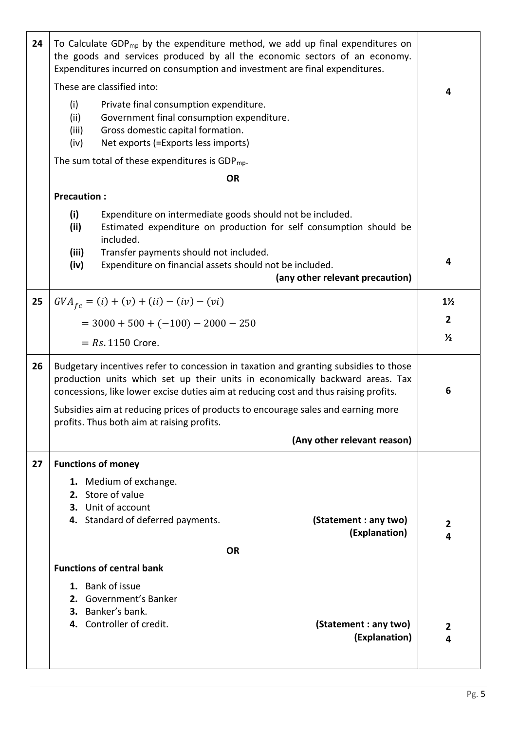| 24 | To Calculate GDP <sub>mp</sub> by the expenditure method, we add up final expenditures on<br>the goods and services produced by all the economic sectors of an economy.<br>Expenditures incurred on consumption and investment are final expenditures.        |                                                                                                                                                                 |                                        |                |
|----|---------------------------------------------------------------------------------------------------------------------------------------------------------------------------------------------------------------------------------------------------------------|-----------------------------------------------------------------------------------------------------------------------------------------------------------------|----------------------------------------|----------------|
|    | These are classified into:                                                                                                                                                                                                                                    |                                                                                                                                                                 |                                        | 4              |
|    | (i)<br>(ii)<br>(iii)<br>(iv)                                                                                                                                                                                                                                  | Private final consumption expenditure.<br>Government final consumption expenditure.<br>Gross domestic capital formation.<br>Net exports (=Exports less imports) |                                        |                |
|    |                                                                                                                                                                                                                                                               | The sum total of these expenditures is GDP $_{\text{mp}}$ .                                                                                                     |                                        |                |
|    |                                                                                                                                                                                                                                                               | <b>OR</b>                                                                                                                                                       |                                        |                |
|    | <b>Precaution:</b>                                                                                                                                                                                                                                            |                                                                                                                                                                 |                                        |                |
|    | (i)<br>Expenditure on intermediate goods should not be included.<br>Estimated expenditure on production for self consumption should be<br>(ii)<br>included.                                                                                                   |                                                                                                                                                                 |                                        |                |
|    | (iii)<br>(iv)                                                                                                                                                                                                                                                 | Transfer payments should not included.<br>Expenditure on financial assets should not be included.                                                               | (any other relevant precaution)        | 4              |
| 25 |                                                                                                                                                                                                                                                               | $GVA_{fc} = (i) + (v) + (ii) - (iv) - (vi)$                                                                                                                     |                                        | $1\frac{1}{2}$ |
|    |                                                                                                                                                                                                                                                               | $=$ 3000 + 500 + (-100) - 2000 - 250                                                                                                                            |                                        | $\overline{2}$ |
|    |                                                                                                                                                                                                                                                               |                                                                                                                                                                 |                                        | $\frac{1}{2}$  |
|    |                                                                                                                                                                                                                                                               | $= Rs. 1150$ Crore.                                                                                                                                             |                                        |                |
| 26 | Budgetary incentives refer to concession in taxation and granting subsidies to those<br>production units which set up their units in economically backward areas. Tax<br>concessions, like lower excise duties aim at reducing cost and thus raising profits. |                                                                                                                                                                 |                                        | 6              |
|    | Subsidies aim at reducing prices of products to encourage sales and earning more<br>profits. Thus both aim at raising profits.                                                                                                                                |                                                                                                                                                                 |                                        |                |
|    |                                                                                                                                                                                                                                                               |                                                                                                                                                                 | (Any other relevant reason)            |                |
| 27 |                                                                                                                                                                                                                                                               | <b>Functions of money</b>                                                                                                                                       |                                        |                |
|    |                                                                                                                                                                                                                                                               | 1. Medium of exchange.<br>2. Store of value<br>3. Unit of account<br>4. Standard of deferred payments.                                                          | (Statement : any two)<br>(Explanation) | 2<br>4         |
|    | <b>OR</b>                                                                                                                                                                                                                                                     |                                                                                                                                                                 |                                        |                |
|    | <b>Functions of central bank</b>                                                                                                                                                                                                                              |                                                                                                                                                                 |                                        |                |
|    |                                                                                                                                                                                                                                                               | 1. Bank of issue<br>2. Government's Banker<br>3. Banker's bank.<br>4. Controller of credit.                                                                     | (Statement : any two)                  | $\mathbf{2}$   |
|    |                                                                                                                                                                                                                                                               |                                                                                                                                                                 | (Explanation)                          | 4              |